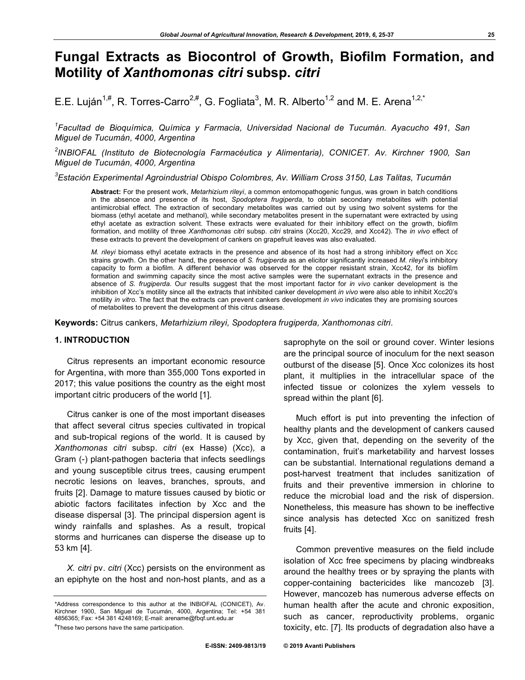# **Fungal Extracts as Biocontrol of Growth, Biofilm Formation, and Motility of** *Xanthomonas citri* **subsp.** *citri*

E.E. Luján<sup>1,#</sup>, R. Torres-Carro<sup>2,#</sup>, G. Fogliata<sup>3</sup>, M. R. Alberto<sup>1,2</sup> and M. E. Arena<sup>1,2,\*</sup>

*1 Facultad de Bioquímica, Química y Farmacia, Universidad Nacional de Tucumán. Ayacucho 491, San Miguel de Tucumán, 4000, Argentina*

*2 INBIOFAL (Instituto de Biotecnología Farmacéutica y Alimentaria), CONICET. Av. Kirchner 1900, San Miguel de Tucumán, 4000, Argentina*

*3 Estación Experimental Agroindustrial Obispo Colombres, Av. William Cross 3150, Las Talitas, Tucumán*

**Abstract:** For the present work, *Metarhizium rileyi*, a common entomopathogenic fungus, was grown in batch conditions in the absence and presence of its host, *Spodoptera frugiperda*, to obtain secondary metabolites with potential antimicrobial effect. The extraction of secondary metabolites was carried out by using two solvent systems for the biomass (ethyl acetate and methanol), while secondary metabolites present in the supernatant were extracted by using ethyl acetate as extraction solvent. These extracts were evaluated for their inhibitory effect on the growth, biofilm formation, and motility of three *Xanthomonas citri* subsp. *citri* strains (Xcc20, Xcc29, and Xcc42). The *in vivo* effect of these extracts to prevent the development of cankers on grapefruit leaves was also evaluated.

*M. rileyi* biomass ethyl acetate extracts in the presence and absence of its host had a strong inhibitory effect on Xcc strains growth. On the other hand, the presence of *S. frugiperda* as an elicitor significantly increased *M. rileyi*'s inhibitory capacity to form a biofilm. A different behavior was observed for the copper resistant strain, Xcc42, for its biofilm formation and swimming capacity since the most active samples were the supernatant extracts in the presence and absence of *S. frugiperda*. Our results suggest that the most important factor for *in vivo* canker development is the inhibition of Xcc's motility since all the extracts that inhibited canker development *in vivo* were also able to inhibit Xcc20's motility *in vitro*. The fact that the extracts can prevent cankers development *in vivo* indicates they are promising sources of metabolites to prevent the development of this citrus disease.

**Keywords:** Citrus cankers, *Metarhizium rileyi, Spodoptera frugiperda, Xanthomonas citri*.

# **1. INTRODUCTION**

Citrus represents an important economic resource for Argentina, with more than 355,000 Tons exported in 2017; this value positions the country as the eight most important citric producers of the world [1].

Citrus canker is one of the most important diseases that affect several citrus species cultivated in tropical and sub-tropical regions of the world. It is caused by *Xanthomonas citri* subsp. *citri* (ex Hasse) (Xcc), a Gram (-) plant-pathogen bacteria that infects seedlings and young susceptible citrus trees, causing erumpent necrotic lesions on leaves, branches, sprouts, and fruits [2]. Damage to mature tissues caused by biotic or abiotic factors facilitates infection by Xcc and the disease dispersal [3]. The principal dispersion agent is windy rainfalls and splashes. As a result, tropical storms and hurricanes can disperse the disease up to 53 km [4].

*X. citri* pv. *citri* (Xcc) persists on the environment as an epiphyte on the host and non-host plants, and as a

saprophyte on the soil or ground cover. Winter lesions are the principal source of inoculum for the next season outburst of the disease [5]. Once Xcc colonizes its host plant, it multiplies in the intracellular space of the infected tissue or colonizes the xylem vessels to spread within the plant [6].

Much effort is put into preventing the infection of healthy plants and the development of cankers caused by Xcc, given that, depending on the severity of the contamination, fruit's marketability and harvest losses can be substantial. International regulations demand a post-harvest treatment that includes sanitization of fruits and their preventive immersion in chlorine to reduce the microbial load and the risk of dispersion. Nonetheless, this measure has shown to be ineffective since analysis has detected Xcc on sanitized fresh fruits [4].

Common preventive measures on the field include isolation of Xcc free specimens by placing windbreaks around the healthy trees or by spraying the plants with copper-containing bactericides like mancozeb [3]. However, mancozeb has numerous adverse effects on human health after the acute and chronic exposition, such as cancer, reproductivity problems, organic toxicity, etc. [7]. Its products of degradation also have a

<sup>\*</sup>Address correspondence to this author at the INBIOFAL (CONICET), Av. Kirchner 1900, San Miguel de Tucumán, 4000, Argentina; Tel: +54 381 4856365; Fax: +54 381 4248169; E-mail: arename@fbqf.unt.edu.ar

<sup>#</sup> These two persons have the same participation.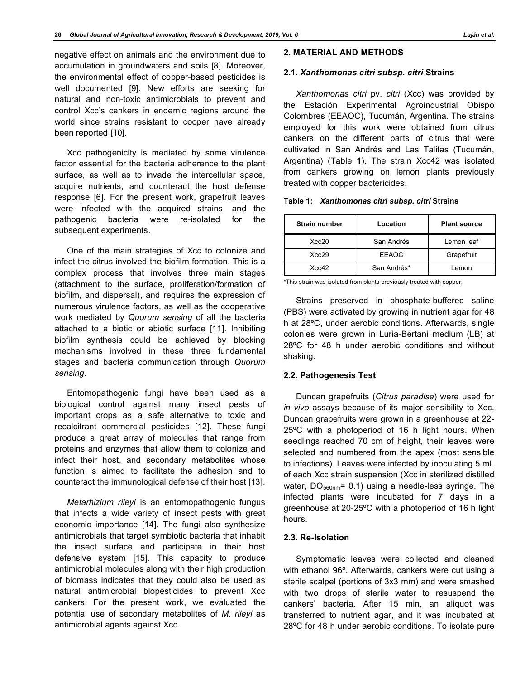negative effect on animals and the environment due to accumulation in groundwaters and soils [8]. Moreover, the environmental effect of copper-based pesticides is well documented [9]. New efforts are seeking for natural and non-toxic antimicrobials to prevent and control Xcc's cankers in endemic regions around the world since strains resistant to cooper have already been reported [10].

Xcc pathogenicity is mediated by some virulence factor essential for the bacteria adherence to the plant surface, as well as to invade the intercellular space, acquire nutrients, and counteract the host defense response [6]. For the present work, grapefruit leaves were infected with the acquired strains, and the pathogenic bacteria were re-isolated for the subsequent experiments.

One of the main strategies of Xcc to colonize and infect the citrus involved the biofilm formation. This is a complex process that involves three main stages (attachment to the surface, proliferation/formation of biofilm, and dispersal), and requires the expression of numerous virulence factors, as well as the cooperative work mediated by *Quorum sensing* of all the bacteria attached to a biotic or abiotic surface [11]. Inhibiting biofilm synthesis could be achieved by blocking mechanisms involved in these three fundamental stages and bacteria communication through *Quorum sensing*.

Entomopathogenic fungi have been used as a biological control against many insect pests of important crops as a safe alternative to toxic and recalcitrant commercial pesticides [12]. These fungi produce a great array of molecules that range from proteins and enzymes that allow them to colonize and infect their host, and secondary metabolites whose function is aimed to facilitate the adhesion and to counteract the immunological defense of their host [13].

*Metarhizium rileyi* is an entomopathogenic fungus that infects a wide variety of insect pests with great economic importance [14]. The fungi also synthesize antimicrobials that target symbiotic bacteria that inhabit the insect surface and participate in their host defensive system [15]. This capacity to produce antimicrobial molecules along with their high production of biomass indicates that they could also be used as natural antimicrobial biopesticides to prevent Xcc cankers. For the present work, we evaluated the potential use of secondary metabolites of *M. rileyi* as antimicrobial agents against Xcc.

# **2. MATERIAL AND METHODS**

#### **2.1.** *Xanthomonas citri subsp. citri* **Strains**

*Xanthomonas citri* pv. *citri* (Xcc) was provided by the Estación Experimental Agroindustrial Obispo Colombres (EEAOC), Tucumán, Argentina. The strains employed for this work were obtained from citrus cankers on the different parts of citrus that were cultivated in San Andrés and Las Talitas (Tucumán, Argentina) (Table **1**). The strain Xcc42 was isolated from cankers growing on lemon plants previously treated with copper bactericides.

|  | Table 1: <i>Xanthomonas citri subsp. citri</i> Strains |  |  |
|--|--------------------------------------------------------|--|--|
|--|--------------------------------------------------------|--|--|

| <b>Strain number</b> | Location     | <b>Plant source</b> |  |
|----------------------|--------------|---------------------|--|
| Xcc20                | San Andrés   | Lemon leaf          |  |
| Xcc29                | <b>EEAOC</b> | Grapefruit          |  |
| Xcc42                | San Andrés*  | Lemon               |  |

\*This strain was isolated from plants previously treated with copper.

Strains preserved in phosphate-buffered saline (PBS) were activated by growing in nutrient agar for 48 h at 28ºC, under aerobic conditions. Afterwards, single colonies were grown in Luria-Bertani medium (LB) at 28ºC for 48 h under aerobic conditions and without shaking.

#### **2.2. Pathogenesis Test**

Duncan grapefruits (*Citrus paradise*) were used for *in vivo* assays because of its major sensibility to Xcc. Duncan grapefruits were grown in a greenhouse at 22- 25ºC with a photoperiod of 16 h light hours. When seedlings reached 70 cm of height, their leaves were selected and numbered from the apex (most sensible to infections). Leaves were infected by inoculating 5 mL of each Xcc strain suspension (Xcc in sterilized distilled water,  $DO<sub>560nm</sub> = 0.1$ ) using a needle-less syringe. The infected plants were incubated for 7 days in a greenhouse at 20-25ºC with a photoperiod of 16 h light hours.

# **2.3. Re-Isolation**

Symptomatic leaves were collected and cleaned with ethanol 96º. Afterwards, cankers were cut using a sterile scalpel (portions of 3x3 mm) and were smashed with two drops of sterile water to resuspend the cankers' bacteria. After 15 min, an aliquot was transferred to nutrient agar, and it was incubated at 28ºC for 48 h under aerobic conditions. To isolate pure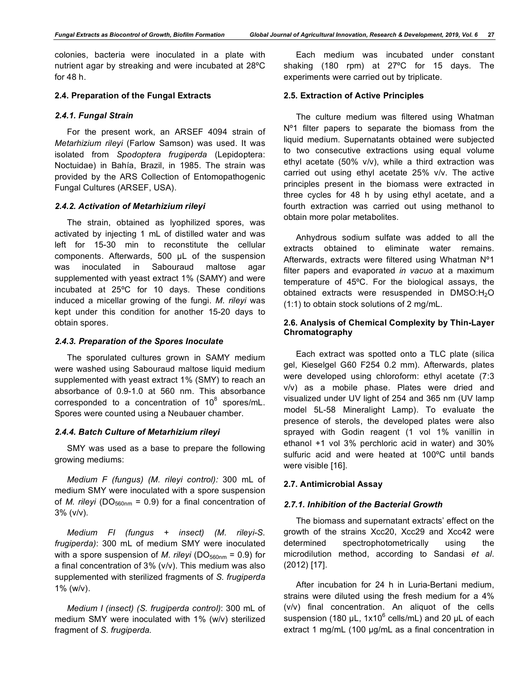colonies, bacteria were inoculated in a plate with nutrient agar by streaking and were incubated at 28ºC for 48 h.

# **2.4. Preparation of the Fungal Extracts**

#### *2.4.1. Fungal Strain*

For the present work, an ARSEF 4094 strain of *Metarhizium rileyi* (Farlow Samson) was used. It was isolated from *Spodoptera frugiperda* (Lepidoptera: Noctuidae) in Bahía, Brazil, in 1985. The strain was provided by the ARS Collection of Entomopathogenic Fungal Cultures (ARSEF, USA).

#### *2.4.2. Activation of Metarhizium rileyi*

The strain, obtained as lyophilized spores, was activated by injecting 1 mL of distilled water and was left for 15-30 min to reconstitute the cellular components. Afterwards, 500 µL of the suspension was inoculated in Sabouraud maltose agar supplemented with yeast extract 1% (SAMY) and were incubated at 25ºC for 10 days. These conditions induced a micellar growing of the fungi. *M. rileyi* was kept under this condition for another 15-20 days to obtain spores.

#### *2.4.3. Preparation of the Spores Inoculate*

The sporulated cultures grown in SAMY medium were washed using Sabouraud maltose liquid medium supplemented with yeast extract 1% (SMY) to reach an absorbance of 0.9-1.0 at 560 nm. This absorbance corresponded to a concentration of 10 $8$  spores/mL. Spores were counted using a Neubauer chamber.

# *2.4.4. Batch Culture of Metarhizium rileyi*

SMY was used as a base to prepare the following growing mediums:

*Medium F (fungus) (M. rileyi control):* 300 mL of medium SMY were inoculated with a spore suspension of *M. rileyi* ( $DO<sub>560nm</sub> = 0.9$ ) for a final concentration of 3% (v/v).

*Medium FI (fungus + insect) (M. rileyi-S. frugiperda)*: 300 mL of medium SMY were inoculated with a spore suspension of *M. rileyi* ( $DO<sub>560nm</sub> = 0.9$ ) for a final concentration of 3% (v/v). This medium was also supplemented with sterilized fragments of *S. frugiperda* 1% (w/v).

*Medium I (insect) (S. frugiperda control)*: 300 mL of medium SMY were inoculated with 1% (w/v) sterilized fragment of *S. frugiperda.*

Each medium was incubated under constant shaking (180 rpm) at 27ºC for 15 days. The experiments were carried out by triplicate.

# **2.5. Extraction of Active Principles**

The culture medium was filtered using Whatman N<sup>o</sup>1 filter papers to separate the biomass from the liquid medium. Supernatants obtained were subjected to two consecutive extractions using equal volume ethyl acetate (50% v/v), while a third extraction was carried out using ethyl acetate 25% v/v. The active principles present in the biomass were extracted in three cycles for 48 h by using ethyl acetate, and a fourth extraction was carried out using methanol to obtain more polar metabolites.

Anhydrous sodium sulfate was added to all the extracts obtained to eliminate water remains. Afterwards, extracts were filtered using Whatman Nº1 filter papers and evaporated *in vacuo* at a maximum temperature of 45ºC. For the biological assays, the obtained extracts were resuspended in DMSO:H<sub>2</sub>O (1:1) to obtain stock solutions of 2 mg/mL.

# **2.6. Analysis of Chemical Complexity by Thin-Layer Chromatography**

Each extract was spotted onto a TLC plate (silica gel, Kieselgel G60 F254 0.2 mm). Afterwards, plates were developed using chloroform: ethyl acetate (7:3 v/v) as a mobile phase. Plates were dried and visualized under UV light of 254 and 365 nm (UV lamp model 5L-58 Mineralight Lamp). To evaluate the presence of sterols, the developed plates were also sprayed with Godin reagent (1 vol 1% vanillin in ethanol +1 vol 3% perchloric acid in water) and 30% sulfuric acid and were heated at 100ºC until bands were visible [16].

# **2.7. Antimicrobial Assay**

#### *2.7.1. Inhibition of the Bacterial Growth*

The biomass and supernatant extracts' effect on the growth of the strains Xcc20, Xcc29 and Xcc42 were determined spectrophotometrically using the microdilution method, according to Sandasi *et al*. (2012) [17].

After incubation for 24 h in Luria-Bertani medium, strains were diluted using the fresh medium for a 4% (v/v) final concentration. An aliquot of the cells suspension (180  $\mu$ L, 1x10<sup>6</sup> cells/mL) and 20  $\mu$ L of each extract 1 mg/mL (100 µg/mL as a final concentration in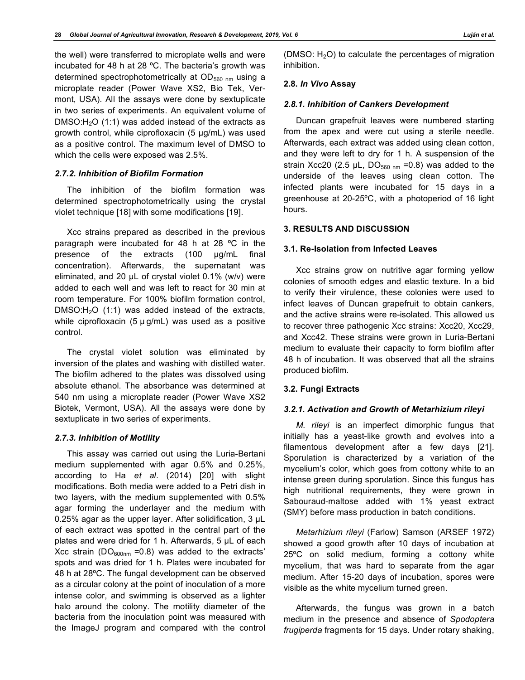the well) were transferred to microplate wells and were incubated for 48 h at 28 ºC. The bacteria's growth was determined spectrophotometrically at  $OD_{560 \text{ nm}}$  using a microplate reader (Power Wave XS2, Bio Tek, Vermont, USA). All the assays were done by sextuplicate in two series of experiments. An equivalent volume of DMSO: $H<sub>2</sub>O$  (1:1) was added instead of the extracts as growth control, while ciprofloxacin (5 µg/mL) was used as a positive control. The maximum level of DMSO to which the cells were exposed was 2.5%.

### *2.7.2. Inhibition of Biofilm Formation*

The inhibition of the biofilm formation was determined spectrophotometrically using the crystal violet technique [18] with some modifications [19].

Xcc strains prepared as described in the previous paragraph were incubated for 48 h at 28 ºC in the presence of the extracts (100 µg/mL final concentration). Afterwards, the supernatant was eliminated, and 20  $\mu$ L of crystal violet 0.1% (w/v) were added to each well and was left to react for 30 min at room temperature. For 100% biofilm formation control,  $DMSO:H<sub>2</sub>O$  (1:1) was added instead of the extracts, while ciprofloxacin (5  $\mu$  g/mL) was used as a positive control.

The crystal violet solution was eliminated by inversion of the plates and washing with distilled water. The biofilm adhered to the plates was dissolved using absolute ethanol. The absorbance was determined at 540 nm using a microplate reader (Power Wave XS2 Biotek, Vermont, USA). All the assays were done by sextuplicate in two series of experiments.

#### *2.7.3. Inhibition of Motility*

This assay was carried out using the Luria-Bertani medium supplemented with agar 0.5% and 0.25%, according to Ha *et al*. (2014) [20] with slight modifications. Both media were added to a Petri dish in two layers, with the medium supplemented with 0.5% agar forming the underlayer and the medium with 0.25% agar as the upper layer. After solidification, 3 µL of each extract was spotted in the central part of the plates and were dried for 1 h. Afterwards, 5 µL of each Xcc strain ( $DO<sub>600nm</sub> = 0.8$ ) was added to the extracts' spots and was dried for 1 h. Plates were incubated for 48 h at 28ºC. The fungal development can be observed as a circular colony at the point of inoculation of a more intense color, and swimming is observed as a lighter halo around the colony. The motility diameter of the bacteria from the inoculation point was measured with the ImageJ program and compared with the control

(DMSO:  $H_2O$ ) to calculate the percentages of migration inhibition.

# **2.8.** *In Vivo* **Assay**

#### *2.8.1. Inhibition of Cankers Development*

Duncan grapefruit leaves were numbered starting from the apex and were cut using a sterile needle. Afterwards, each extract was added using clean cotton, and they were left to dry for 1 h. A suspension of the strain Xcc20 (2.5  $\mu$ L, DO<sub>560 nm</sub> =0.8) was added to the underside of the leaves using clean cotton. The infected plants were incubated for 15 days in a greenhouse at 20-25ºC, with a photoperiod of 16 light hours.

#### **3. RESULTS AND DISCUSSION**

#### **3.1. Re-Isolation from Infected Leaves**

Xcc strains grow on nutritive agar forming yellow colonies of smooth edges and elastic texture. In a bid to verify their virulence, these colonies were used to infect leaves of Duncan grapefruit to obtain cankers, and the active strains were re-isolated. This allowed us to recover three pathogenic Xcc strains: Xcc20, Xcc29, and Xcc42. These strains were grown in Luria-Bertani medium to evaluate their capacity to form biofilm after 48 h of incubation. It was observed that all the strains produced biofilm.

#### **3.2. Fungi Extracts**

#### *3.2.1. Activation and Growth of Metarhizium rileyi*

*M. rileyi* is an imperfect dimorphic fungus that initially has a yeast-like growth and evolves into a filamentous development after a few days [21]. Sporulation is characterized by a variation of the mycelium's color, which goes from cottony white to an intense green during sporulation. Since this fungus has high nutritional requirements, they were grown in Sabouraud-maltose added with 1% yeast extract (SMY) before mass production in batch conditions.

*Metarhizium rileyi* (Farlow) Samson (ARSEF 1972) showed a good growth after 10 days of incubation at 25ºC on solid medium, forming a cottony white mycelium, that was hard to separate from the agar medium. After 15-20 days of incubation, spores were visible as the white mycelium turned green.

Afterwards, the fungus was grown in a batch medium in the presence and absence of *Spodoptera frugiperda* fragments for 15 days. Under rotary shaking,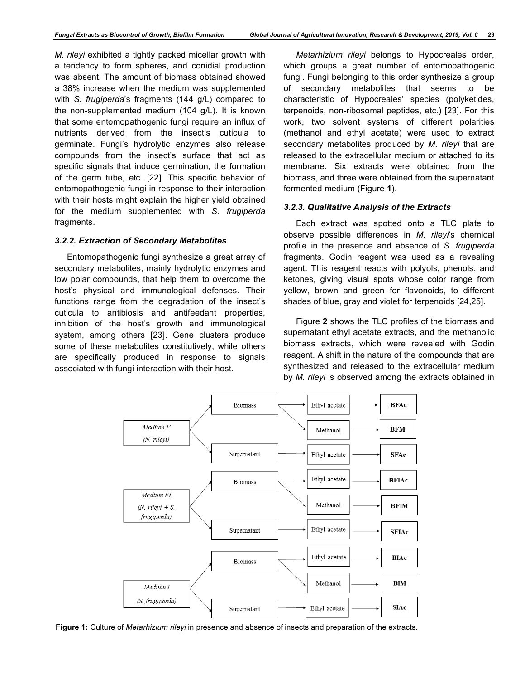*M. rileyi* exhibited a tightly packed micellar growth with a tendency to form spheres, and conidial production was absent. The amount of biomass obtained showed a 38% increase when the medium was supplemented with *S. frugiperda*'s fragments (144 g/L) compared to the non-supplemented medium (104 g/L). It is known that some entomopathogenic fungi require an influx of nutrients derived from the insect's cuticula to germinate. Fungi's hydrolytic enzymes also release compounds from the insect's surface that act as specific signals that induce germination, the formation of the germ tube, etc. [22]. This specific behavior of entomopathogenic fungi in response to their interaction with their hosts might explain the higher yield obtained for the medium supplemented with *S. frugiperda* fragments.

# *3.2.2. Extraction of Secondary Metabolites*

Entomopathogenic fungi synthesize a great array of secondary metabolites, mainly hydrolytic enzymes and low polar compounds, that help them to overcome the host's physical and immunological defenses. Their functions range from the degradation of the insect's cuticula to antibiosis and antifeedant properties, inhibition of the host's growth and immunological system, among others [23]. Gene clusters produce some of these metabolites constitutively, while others are specifically produced in response to signals associated with fungi interaction with their host.

*Metarhizium rileyi* belongs to Hypocreales order, which groups a great number of entomopathogenic fungi. Fungi belonging to this order synthesize a group of secondary metabolites that seems to be characteristic of Hypocreales' species (polyketides, terpenoids, non-ribosomal peptides, etc.) [23]. For this work, two solvent systems of different polarities (methanol and ethyl acetate) were used to extract secondary metabolites produced by *M. rileyi* that are released to the extracellular medium or attached to its membrane. Six extracts were obtained from the biomass, and three were obtained from the supernatant fermented medium (Figure **1**).

# *3.2.3. Qualitative Analysis of the Extracts*

Each extract was spotted onto a TLC plate to observe possible differences in *M. rileyi*'s chemical profile in the presence and absence of *S. frugiperda*  fragments. Godin reagent was used as a revealing agent. This reagent reacts with polyols, phenols, and ketones, giving visual spots whose color range from yellow, brown and green for flavonoids, to different shades of blue, gray and violet for terpenoids [24,25].

Figure **2** shows the TLC profiles of the biomass and supernatant ethyl acetate extracts, and the methanolic biomass extracts, which were revealed with Godin reagent. A shift in the nature of the compounds that are synthesized and released to the extracellular medium by *M. rileyi* is observed among the extracts obtained in



**Figure 1:** Culture of *Metarhizium rileyi* in presence and absence of insects and preparation of the extracts.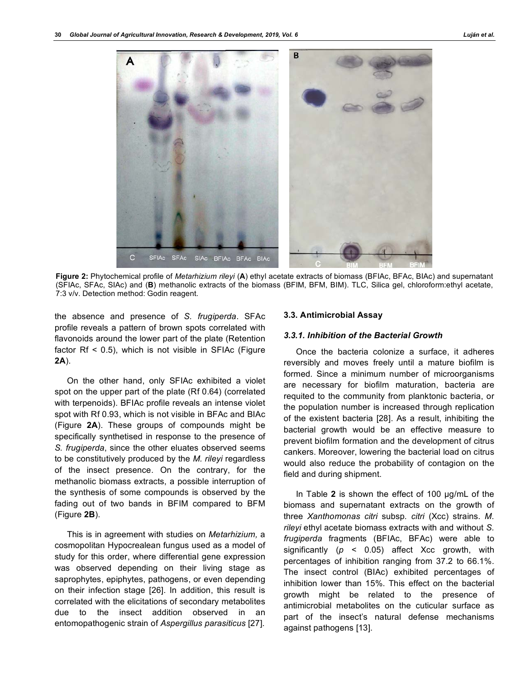

**Figure 2:** Phytochemical profile of *Metarhizium rileyi* (**A**) ethyl acetate extracts of biomass (BFIAc, BFAc, BIAc) and supernatant (SFIAc, SFAc, SIAc) and (**B**) methanolic extracts of the biomass (BFIM, BFM, BIM). TLC, Silica gel, chloroform:ethyl acetate, 7:3 v/v. Detection method: Godin reagent.

the absence and presence of *S. frugiperda*. SFAc profile reveals a pattern of brown spots correlated with flavonoids around the lower part of the plate (Retention factor  $Rf < 0.5$ ), which is not visible in SFIAc (Figure **2A**).

On the other hand, only SFIAc exhibited a violet spot on the upper part of the plate (Rf 0.64) (correlated with terpenoids). BFIAc profile reveals an intense violet spot with Rf 0.93, which is not visible in BFAc and BIAc (Figure **2A**). These groups of compounds might be specifically synthetised in response to the presence of *S. frugiperda*, since the other eluates observed seems to be constitutively produced by the *M. rileyi* regardless of the insect presence. On the contrary, for the methanolic biomass extracts, a possible interruption of the synthesis of some compounds is observed by the fading out of two bands in BFIM compared to BFM (Figure **2B**).

This is in agreement with studies on *Metarhizium,* a cosmopolitan Hypocrealean fungus used as a model of study for this order, where differential gene expression was observed depending on their living stage as saprophytes, epiphytes, pathogens, or even depending on their infection stage [26]. In addition, this result is correlated with the elicitations of secondary metabolites due to the insect addition observed in an entomopathogenic strain of *Aspergillus parasiticus* [27].

# **3.3. Antimicrobial Assay**

# *3.3.1. Inhibition of the Bacterial Growth*

Once the bacteria colonize a surface, it adheres reversibly and moves freely until a mature biofilm is formed. Since a minimum number of microorganisms are necessary for biofilm maturation, bacteria are requited to the community from planktonic bacteria, or the population number is increased through replication of the existent bacteria [28]. As a result, inhibiting the bacterial growth would be an effective measure to prevent biofilm formation and the development of citrus cankers. Moreover, lowering the bacterial load on citrus would also reduce the probability of contagion on the field and during shipment.

In Table **2** is shown the effect of 100 µg/mL of the biomass and supernatant extracts on the growth of three *Xanthomonas citri* subsp*. citri* (Xcc) strains. *M. rileyi* ethyl acetate biomass extracts with and without *S. frugiperda* fragments (BFIAc, BFAc) were able to significantly (*p* ˂ 0.05) affect Xcc growth, with percentages of inhibition ranging from 37.2 to 66.1%. The insect control (BIAc) exhibited percentages of inhibition lower than 15%. This effect on the bacterial growth might be related to the presence of antimicrobial metabolites on the cuticular surface as part of the insect's natural defense mechanisms against pathogens [13].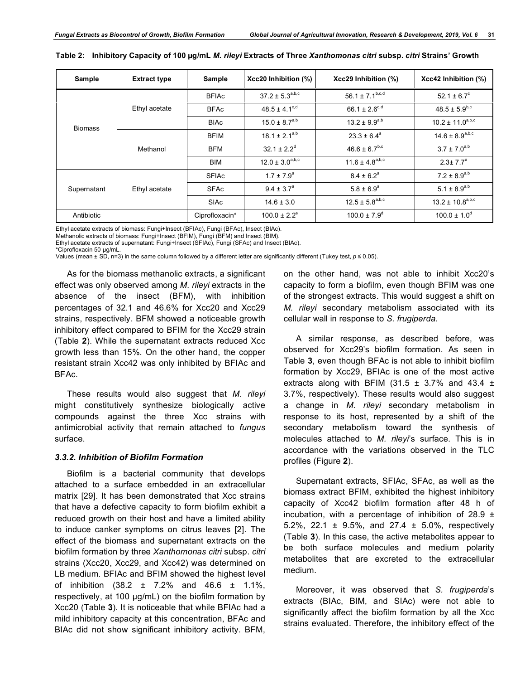| Sample         | <b>Extract type</b> | Sample         | Xcc20 Inhibition (%)     | Xcc29 Inhibition (%)         | Xcc42 Inhibition (%)     |
|----------------|---------------------|----------------|--------------------------|------------------------------|--------------------------|
| <b>Biomass</b> | Ethyl acetate       | <b>BFIAc</b>   | $37.2 \pm 5.3^{a,b,c}$   | 56.1 ± 7.1 <sup>b,c,d</sup>  | 52.1 ± $6.7^{\circ}$     |
|                |                     | <b>BFAc</b>    | $48.5 \pm 4.1^{\circ,d}$ | 66.1 ± 2.6 <sup>c,d</sup>    | $48.5 \pm 5.9^{b,c}$     |
|                |                     | <b>BIAc</b>    | $15.0 \pm 8.7^{a,b}$     | $13.2 \pm 9.9^{a,b}$         | $10.2 \pm 11.0^{a,b,c}$  |
|                | Methanol            | <b>BFIM</b>    | $18.1 \pm 2.1^{a,b}$     | $23.3 \pm 6.4^a$             | $14.6 \pm 8.9^{a,b,c}$   |
|                |                     | <b>BFM</b>     | $32.1 \pm 2.2^d$         | $46.6 \pm 6.7^{b,c}$         | $3.7 \pm 7.0^{a,b}$      |
|                |                     | <b>BIM</b>     | $12.0 \pm 3.0^{a,b,c}$   | $11.6 \pm 4.8^{a,b,c}$       | $2.3 \pm 7.7^a$          |
| Supernatant    | Ethyl acetate       | <b>SFIAc</b>   | $1.7 \pm 7.9^a$          | $8.4 \pm 6.2^a$              | $7.2 \pm 8.9^{a,b}$      |
|                |                     | <b>SFAc</b>    | $9.4 \pm 3.7^{\circ}$    | $5.8 \pm 6.9^{\circ}$        | 5.1 ± 8.9 <sup>a,b</sup> |
|                |                     | <b>SIAc</b>    | $14.6 \pm 3.0$           | $12.5 \pm 5.8^{a,b,c}$       | $13.2 \pm 10.8^{a,b,c}$  |
| Antibiotic     |                     | Ciprofloxacin* | $100.0 \pm 2.2^e$        | $100.0 \pm 7.9$ <sup>d</sup> | $100.0 \pm 1.0^{\circ}$  |

Ethyl acetate extracts of biomass: Fungi+Insect (BFIAc), Fungi (BFAc), Insect (BIAc).

Methanolic extracts of biomass: Fungi+Insect (BFIM), Fungi (BFM) and Insect (BIM).

Ethyl acetate extracts of supernatant: Fungi+Insect (SFIAc), Fungi (SFAc) and Insect (BIAc).

Values (mean ± SD, n=3) in the same column followed by a different letter are significantly different (Tukey test, *p* ≤ 0.05).

As for the biomass methanolic extracts, a significant effect was only observed among *M. rileyi* extracts in the absence of the insect (BFM), with inhibition percentages of 32.1 and 46.6% for Xcc20 and Xcc29 strains, respectively. BFM showed a noticeable growth inhibitory effect compared to BFIM for the Xcc29 strain (Table **2**). While the supernatant extracts reduced Xcc growth less than 15%. On the other hand, the copper resistant strain Xcc42 was only inhibited by BFIAc and BFAc.

These results would also suggest that *M. rileyi* might constitutively synthesize biologically active compounds against the three Xcc strains with antimicrobial activity that remain attached to *fungus* surface.

## *3.3.2. Inhibition of Biofilm Formation*

Biofilm is a bacterial community that develops attached to a surface embedded in an extracellular matrix [29]. It has been demonstrated that Xcc strains that have a defective capacity to form biofilm exhibit a reduced growth on their host and have a limited ability to induce canker symptoms on citrus leaves [2]. The effect of the biomass and supernatant extracts on the biofilm formation by three *Xanthomonas citri* subsp. *citri* strains (Xcc20, Xcc29, and Xcc42) was determined on LB medium. BFIAc and BFIM showed the highest level of inhibition  $(38.2 \pm 7.2\%$  and  $46.6 \pm 1.1\%$ , respectively, at 100 µg/mL) on the biofilm formation by Xcc20 (Table **3**). It is noticeable that while BFIAc had a mild inhibitory capacity at this concentration, BFAc and BIAc did not show significant inhibitory activity. BFM,

on the other hand, was not able to inhibit Xcc20's capacity to form a biofilm, even though BFIM was one of the strongest extracts. This would suggest a shift on *M. rileyi* secondary metabolism associated with its cellular wall in response to *S. frugiperda*.

A similar response, as described before, was observed for Xcc29's biofilm formation. As seen in Table **3**, even though BFAc is not able to inhibit biofilm formation by Xcc29, BFIAc is one of the most active extracts along with BFIM (31.5  $\pm$  3.7% and 43.4  $\pm$ 3.7%, respectively). These results would also suggest a change in *M. rileyi* secondary metabolism in response to its host, represented by a shift of the secondary metabolism toward the synthesis of molecules attached to *M. rileyi*'s surface. This is in accordance with the variations observed in the TLC profiles (Figure **2**).

Supernatant extracts, SFIAc, SFAc, as well as the biomass extract BFIM, exhibited the highest inhibitory capacity of Xcc42 biofilm formation after 48 h of incubation, with a percentage of inhibition of 28.9  $\pm$ 5.2%, 22.1 ± 9.5%, and 27.4 ± 5.0%, respectively (Table **3**). In this case, the active metabolites appear to be both surface molecules and medium polarity metabolites that are excreted to the extracellular medium.

Moreover, it was observed that *S. frugiperda*'s extracts (BIAc, BIM, and SIAc) were not able to significantly affect the biofilm formation by all the Xcc strains evaluated. Therefore, the inhibitory effect of the

<sup>\*</sup>Ciprofloxacin 50 µg/mL.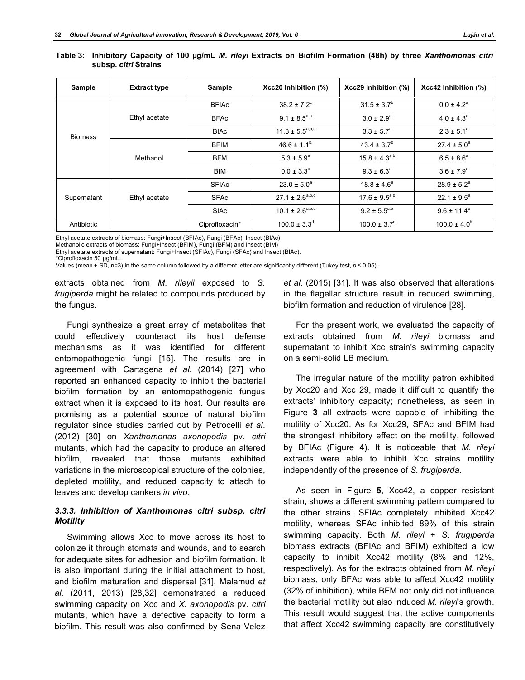| Sample         | <b>Extract type</b> | Sample         | Xcc20 Inhibition (%)    | Xcc29 Inhibition (%)    | Xcc42 Inhibition (%)   |
|----------------|---------------------|----------------|-------------------------|-------------------------|------------------------|
| <b>Biomass</b> | Ethyl acetate       | <b>BFIAc</b>   | $38.2 \pm 7.2^{\circ}$  | $31.5 \pm 3.7^b$        | $0.0 \pm 4.2^a$        |
|                |                     | <b>BFAc</b>    | $9.1 \pm 8.5^{a,b}$     | $3.0 \pm 2.9^{\circ}$   | $4.0 \pm 4.3^a$        |
|                |                     | <b>BIAc</b>    | $11.3 \pm 5.5^{a,b,c}$  | $3.3 \pm 5.7^a$         | $2.3 \pm 5.1^a$        |
|                | Methanol            | <b>BFIM</b>    | $46.6 \pm 1.1^{b}$      | $43.4 \pm 3.7^b$        | $27.4 \pm 5.0^{\circ}$ |
|                |                     | <b>BFM</b>     | $5.3 \pm 5.9^{\circ}$   | $15.8 \pm 4.3^{a,b}$    | $6.5 \pm 8.6^a$        |
|                |                     | <b>BIM</b>     | $0.0 \pm 3.3^{\circ}$   | $9.3 \pm 6.3^{\circ}$   | $3.6 \pm 7.9^a$        |
| Supernatant    | Ethyl acetate       | <b>SFIAc</b>   | $23.0 \pm 5.0^{\circ}$  | $18.8 \pm 4.6^a$        | $28.9 \pm 5.2^a$       |
|                |                     | <b>SFAc</b>    | $27.1 \pm 2.6^{a,b,c}$  | $17.6 \pm 9.5^{a,b}$    | $22.1 \pm 9.5^{\circ}$ |
|                |                     | <b>SIAc</b>    | $10.1 \pm 2.6^{a,b,c}$  | $9.2 \pm 5.5^{a,b}$     | $9.6 \pm 11.4^a$       |
| Antibiotic     |                     | Ciprofloxacin* | $100.0 \pm 3.3^{\circ}$ | $100.0 \pm 3.7^{\circ}$ | $100.0 \pm 4.0^b$      |

**Table 3: Inhibitory Capacity of 100 µg/mL** *M. rileyi* **Extracts on Biofilm Formation (48h) by three** *Xanthomonas citri*  **subsp.** *citri* **Strains**

Ethyl acetate extracts of biomass: Fungi+Insect (BFIAc), Fungi (BFAc), Insect (BIAc)

Methanolic extracts of biomass: Fungi+Insect (BFIM), Fungi (BFM) and Insect (BIM)

Ethyl acetate extracts of supernatant: Fungi+Insect (SFIAc), Fungi (SFAc) and Insect (BIAc).

\*Ciprofloxacin 50 µg/mL.

Values (mean ± SD, n=3) in the same column followed by a different letter are significantly different (Tukey test, *p* ≤ 0.05).

extracts obtained from *M. rileyii* exposed to *S. frugiperda* might be related to compounds produced by the fungus.

Fungi synthesize a great array of metabolites that could effectively counteract its host defense mechanisms as it was identified for different entomopathogenic fungi [15]. The results are in agreement with Cartagena *et al*. (2014) [27] who reported an enhanced capacity to inhibit the bacterial biofilm formation by an entomopathogenic fungus extract when it is exposed to its host. Our results are promising as a potential source of natural biofilm regulator since studies carried out by Petrocelli *et al*. (2012) [30] on *Xanthomonas axonopodis* pv. *citri* mutants, which had the capacity to produce an altered biofilm, revealed that those mutants exhibited variations in the microscopical structure of the colonies, depleted motility, and reduced capacity to attach to leaves and develop cankers *in vivo*.

# *3.3.3. Inhibition of Xanthomonas citri subsp. citri Motility*

Swimming allows Xcc to move across its host to colonize it through stomata and wounds, and to search for adequate sites for adhesion and biofilm formation. It is also important during the initial attachment to host, and biofilm maturation and dispersal [31]. Malamud *et al*. (2011, 2013) [28,32] demonstrated a reduced swimming capacity on Xcc and *X. axonopodis* pv. *citri* mutants, which have a defective capacity to form a biofilm. This result was also confirmed by Sena-Velez

*et al*. (2015) [31]. It was also observed that alterations in the flagellar structure result in reduced swimming, biofilm formation and reduction of virulence [28].

For the present work, we evaluated the capacity of extracts obtained from *M. rileyi* biomass and supernatant to inhibit Xcc strain's swimming capacity on a semi-solid LB medium.

The irregular nature of the motility patron exhibited by Xcc20 and Xcc 29, made it difficult to quantify the extracts' inhibitory capacity; nonetheless, as seen in Figure **3** all extracts were capable of inhibiting the motility of Xcc20. As for Xcc29, SFAc and BFIM had the strongest inhibitory effect on the motility, followed by BFIAc (Figure **4**). It is noticeable that *M. rileyi* extracts were able to inhibit Xcc strains motility independently of the presence of *S. frugiperda*.

As seen in Figure **5**, Xcc42, a copper resistant strain, shows a different swimming pattern compared to the other strains. SFIAc completely inhibited Xcc42 motility, whereas SFAc inhibited 89% of this strain swimming capacity. Both *M. rileyi* + *S. frugiperda* biomass extracts (BFIAc and BFIM) exhibited a low capacity to inhibit Xcc42 motility (8% and 12%, respectively). As for the extracts obtained from *M. rileyi* biomass, only BFAc was able to affect Xcc42 motility (32% of inhibition), while BFM not only did not influence the bacterial motility but also induced *M. rileyi*'s growth. This result would suggest that the active components that affect Xcc42 swimming capacity are constitutively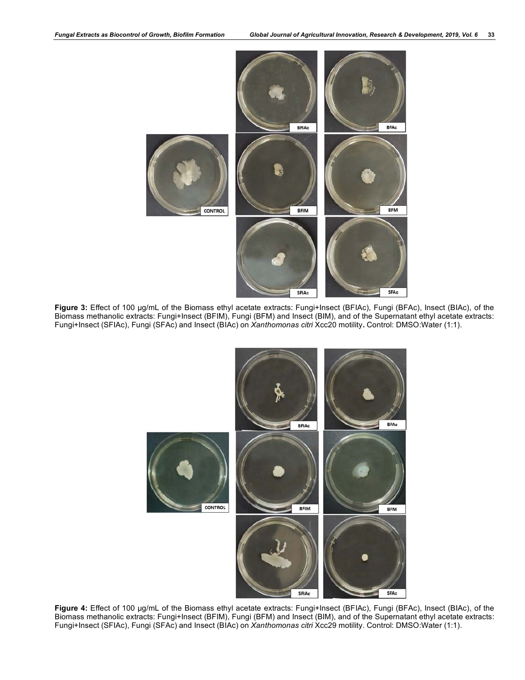

**Figure 3:** Effect of 100 µg/mL of the Biomass ethyl acetate extracts: Fungi+Insect (BFIAc), Fungi (BFAc), Insect (BIAc), of the Biomass methanolic extracts: Fungi+Insect (BFIM), Fungi (BFM) and Insect (BIM), and of the Supernatant ethyl acetate extracts: Fungi+Insect (SFIAc), Fungi (SFAc) and Insect (BIAc) on *Xanthomonas citri* Xcc20 motility**.** Control: DMSO:Water (1:1).



**Figure 4:** Effect of 100 µg/mL of the Biomass ethyl acetate extracts: Fungi+Insect (BFIAc), Fungi (BFAc), Insect (BIAc), of the Biomass methanolic extracts: Fungi+Insect (BFIM), Fungi (BFM) and Insect (BIM), and of the Supernatant ethyl acetate extracts: Fungi+Insect (SFIAc), Fungi (SFAc) and Insect (BIAc) on *Xanthomonas citri* Xcc29 motility. Control: DMSO:Water (1:1).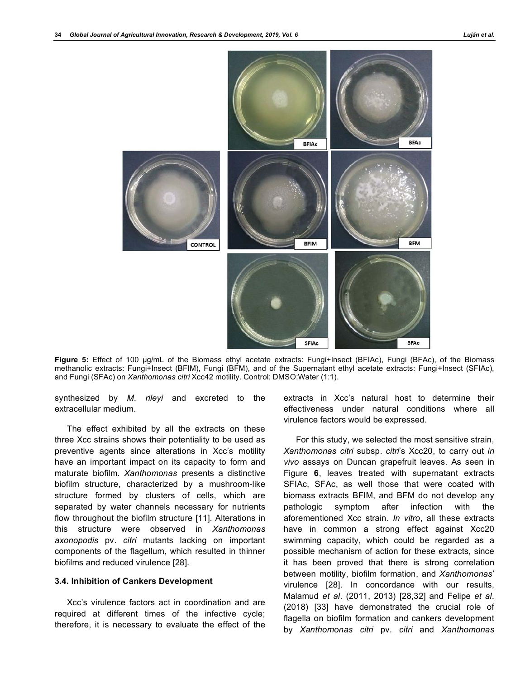

**Figure 5:** Effect of 100 µg/mL of the Biomass ethyl acetate extracts: Fungi+Insect (BFIAc), Fungi (BFAc), of the Biomass methanolic extracts: Fungi+Insect (BFIM), Fungi (BFM), and of the Supernatant ethyl acetate extracts: Fungi+Insect (SFIAc), and Fungi (SFAc) on *Xanthomonas citri* Xcc42 motility. Control: DMSO:Water (1:1).

synthesized by *M. rileyi* and excreted to the extracellular medium.

The effect exhibited by all the extracts on these three Xcc strains shows their potentiality to be used as preventive agents since alterations in Xcc's motility have an important impact on its capacity to form and maturate biofilm. *Xanthomonas* presents a distinctive biofilm structure, characterized by a mushroom-like structure formed by clusters of cells, which are separated by water channels necessary for nutrients flow throughout the biofilm structure [11]. Alterations in this structure were observed in *Xanthomonas axonopodis* pv. *citri* mutants lacking on important components of the flagellum, which resulted in thinner biofilms and reduced virulence [28].

# **3.4. Inhibition of Cankers Development**

Xcc's virulence factors act in coordination and are required at different times of the infective cycle; therefore, it is necessary to evaluate the effect of the extracts in Xcc's natural host to determine their effectiveness under natural conditions where all virulence factors would be expressed.

For this study, we selected the most sensitive strain, *Xanthomonas citri* subsp. *citri*'s Xcc20, to carry out *in vivo* assays on Duncan grapefruit leaves. As seen in Figure **6**, leaves treated with supernatant extracts SFIAc, SFAc, as well those that were coated with biomass extracts BFIM, and BFM do not develop any pathologic symptom after infection with the aforementioned Xcc strain. *In vitro*, all these extracts have in common a strong effect against Xcc20 swimming capacity, which could be regarded as a possible mechanism of action for these extracts, since it has been proved that there is strong correlation between motility, biofilm formation, and *Xanthomonas*' virulence [28]. In concordance with our results, Malamud *et al*. (2011, 2013) [28,32] and Felipe *et al*. (2018) [33] have demonstrated the crucial role of flagella on biofilm formation and cankers development by *Xanthomonas citri* pv. *citri* and *Xanthomonas*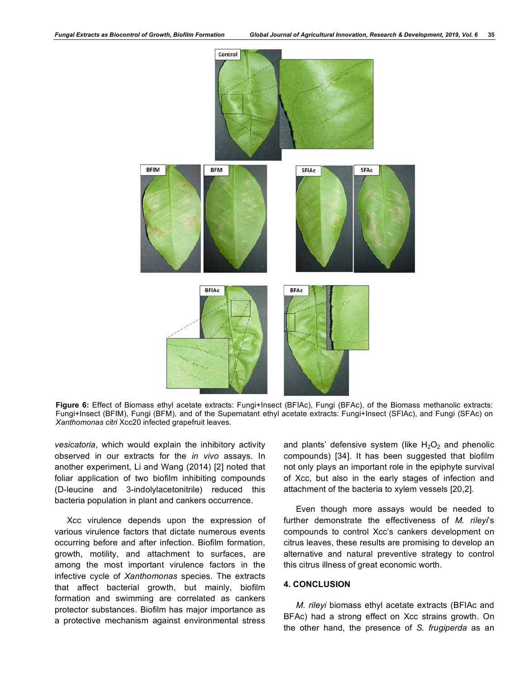

**Figure 6:** Effect of Biomass ethyl acetate extracts: Fungi+Insect (BFIAc), Fungi (BFAc), of the Biomass methanolic extracts: Fungi+Insect (BFIM), Fungi (BFM), and of the Supernatant ethyl acetate extracts: Fungi+Insect (SFIAc), and Fungi (SFAc) on *Xanthomonas citri* Xcc20 infected grapefruit leaves.

*vesicatoria*, which would explain the inhibitory activity observed in our extracts for the *in vivo* assays. In another experiment, Li and Wang (2014) [2] noted that foliar application of two biofilm inhibiting compounds (D-leucine and 3-indolylacetonitrile) reduced this bacteria population in plant and cankers occurrence.

Xcc virulence depends upon the expression of various virulence factors that dictate numerous events occurring before and after infection. Biofilm formation, growth, motility, and attachment to surfaces, are among the most important virulence factors in the infective cycle of *Xanthomonas* species. The extracts that affect bacterial growth, but mainly, biofilm formation and swimming are correlated as cankers protector substances. Biofilm has major importance as a protective mechanism against environmental stress

and plants' defensive system (like  $H_2O_2$  and phenolic compounds) [34]. It has been suggested that biofilm not only plays an important role in the epiphyte survival of Xcc, but also in the early stages of infection and attachment of the bacteria to xylem vessels [20,2].

Even though more assays would be needed to further demonstrate the effectiveness of *M. rileyi*'s compounds to control Xcc's cankers development on citrus leaves, these results are promising to develop an alternative and natural preventive strategy to control this citrus illness of great economic worth.

# **4. CONCLUSION**

*M. rileyi* biomass ethyl acetate extracts (BFIAc and BFAc) had a strong effect on Xcc strains growth. On the other hand, the presence of *S. frugiperda* as an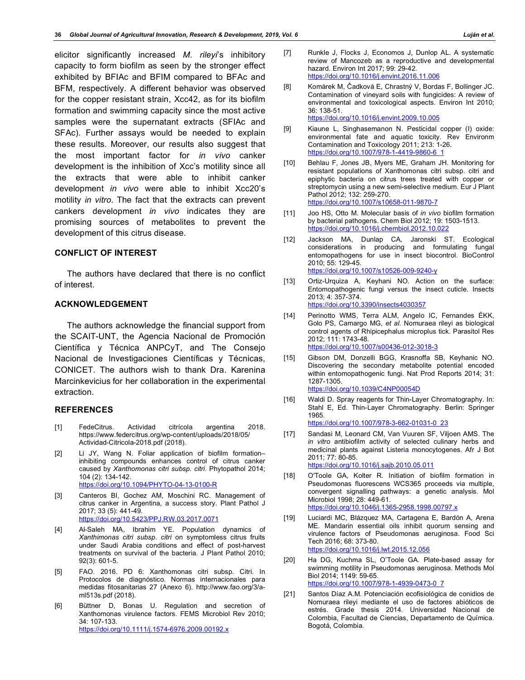elicitor significantly increased *M. rileyi*'s inhibitory capacity to form biofilm as seen by the stronger effect exhibited by BFIAc and BFIM compared to BFAc and BFM, respectively. A different behavior was observed for the copper resistant strain, Xcc42, as for its biofilm formation and swimming capacity since the most active samples were the supernatant extracts (SFIAc and SFAc). Further assays would be needed to explain these results. Moreover, our results also suggest that the most important factor for *in vivo* canker development is the inhibition of Xcc's motility since all the extracts that were able to inhibit canker development *in vivo* were able to inhibit Xcc20's motility *in vitro*. The fact that the extracts can prevent cankers development *in vivo* indicates they are promising sources of metabolites to prevent the development of this citrus disease.

# **CONFLICT OF INTEREST**

The authors have declared that there is no conflict of interest.

# **ACKNOWLEDGEMENT**

The authors acknowledge the financial support from the SCAIT-UNT, the Agencia Nacional de Promoción Científica y Técnica ANPCyT, and The Consejo Nacional de Investigaciones Científicas y Técnicas, CONICET. The authors wish to thank Dra. Karenina Marcinkevicius for her collaboration in the experimental extraction.

# **REFERENCES**

- [1] FedeCitrus. Actividad citrícola argentina 2018. https://www.federcitrus.org/wp-content/uploads/2018/05/ Actividad-Citricola-2018.pdf (2018).
- [2] Li JY, Wang N. Foliar application of biofilm formation– inhibiting compounds enhances control of citrus canker caused by *Xanthomonas citri subsp. citri*. Phytopathol 2014; 104 (2): 134-142. https://doi.org/10.1094/PHYTO-04-13-0100-R
- [3] Canteros BI, Gochez AM, Moschini RC. Management of citrus canker in Argentina, a success story. Plant Pathol J 2017; 33 (5): 441-49. https://doi.org/10.5423/PPJ.RW.03.2017.0071
- [4] Al-Saleh MA, Ibrahim YE. Population dynamics of *Xanthimonas citri subsp. citri* on symptomless citrus fruits under Saudi Arabia conditions and effect of post-harvest treatments on survival of the bacteria. J Plant Pathol 2010; 92(3): 601-5.
- [5] FAO. 2016. PD 6: Xanthomonas citri subsp. Citri. In Protocolos de diagnóstico. Normas internacionales para medidas fitosanitarias 27 (Anexo 6). http://www.fao.org/3/aml513s.pdf (2018).
- [6] Büttner D, Bonas U. Regulation and secretion of Xanthomonas virulence factors. FEMS Microbiol Rev 2010; 34: 107-133. https://doi.org/10.1111/j.1574-6976.2009.00192.x
- [7] Runkle J, Flocks J, Economos J, Dunlop AL. A systematic review of Mancozeb as a reproductive and developmental hazard. Environ Int 2017; 99: 29-42. https://doi.org/10.1016/j.envint.2016.11.006
- [8] Komárek M, Čadková E, Chrastný V, Bordas F, Bollinger JC. Contamination of vineyard soils with fungicides: A review of environmental and toxicological aspects. Environ Int 2010; 36: 138-51. https://doi.org/10.1016/j.envint.2009.10.005
- [9] Kiaune L, Singhasemanon N. Pesticidal copper (I) oxide: environmental fate and aquatic toxicity. Rev Environm Contamination and Toxicology 2011; 213: 1-26. https://doi.org/10.1007/978-1-4419-9860-6\_1
- [10] Behlau F, Jones JB, Myers ME, Graham JH. Monitoring for resistant populations of Xanthomonas citri subsp. citri and epiphytic bacteria on citrus trees treated with copper or streptomycin using a new semi-selective medium. Eur J Plant Pathol 2012; 132: 259-270. https://doi.org/10.1007/s10658-011-9870-7
- [11] Joo HS, Otto M. Molecular basis of *in vivo* biofilm formation by bacterial pathogens. Chem Biol 2012; 19: 1503-1513. https://doi.org/10.1016/j.chembiol.2012.10.022
- [12] Jackson MA, Dunlap CA, Jaronski ST. Ecological considerations in producing and formulating fungal entomopathogens for use in insect biocontrol. BioControl 2010; 55: 129-45. https://doi.org/10.1007/s10526-009-9240-y
- [13] Ortiz-Urquiza A, Keyhani NO. Action on the surface: Entomopathogenic fungi versus the insect cuticle. Insects 2013; 4: 357-374. https://doi.org/10.3390/insects4030357
- [14] Perinotto WMS, Terra ALM, Angelo IC, Fernandes ÉKK, Golo PS, Camargo MG, *et al*. Nomuraea rileyi as biological control agents of Rhipicephalus microplus tick. Parasitol Res 2012; 111: 1743-48. https://doi.org/10.1007/s00436-012-3018-3
- [15] Gibson DM, Donzelli BGG, Krasnoffa SB, Keyhanic NO. Discovering the secondary metabolite potential encoded within entomopathogenic fungi. Nat Prod Reports 2014; 31: 1287-1305. https://doi.org/10.1039/C4NP00054D
- [16] Waldi D. Spray reagents for Thin-Layer Chromatography. In: Stahl E, Ed. Thin-Layer Chromatography. Berlin: Springer 1965. https://doi.org/10.1007/978-3-662-01031-0\_23
- [17] Sandasi M, Leonard CM, Van Vuuren SF, Viljoen AMS. The *in vitro* antibiofilm activity of selected culinary herbs and medicinal plants against Listeria monocytogenes. Afr J Bot 2011; 77: 80-85. https://doi.org/10.1016/j.sajb.2010.05.011
- [18] O'Toole GA, Kolter R. Initiation of biofilm formation in Pseudomonas fluorescens WCS365 proceeds via multiple, convergent signalling pathways: a genetic analysis. Mol Microbiol 1998; 28: 449-61. https://doi.org/10.1046/j.1365-2958.1998.00797.x
- [19] Luciardi MC, Blázquez MA, Cartagena E, Bardón A, Arena ME. Mandarin essential oils inhibit quorum sensing and virulence factors of Pseudomonas aeruginosa. Food Sci Tech 2016; 68: 373-80. https://doi.org/10.1016/j.lwt.2015.12.056
- [20] Ha DG, Kuchma SL, O'Toole GA. Plate-based assay for swimming motility in Pseudomonas aeruginosa. Methods Mol Biol 2014; 1149: 59-65. https://doi.org/10.1007/978-1-4939-0473-0\_7
- [21] Santos Díaz A.M. Potenciación ecofisiológica de conidios de Nomuraea rileyi mediante el uso de factores abióticos de estrés. Grade thesis 2014. Universidad Nacional de Colombia, Facultad de Ciencias, Departamento de Química. Bogotá, Colombia.